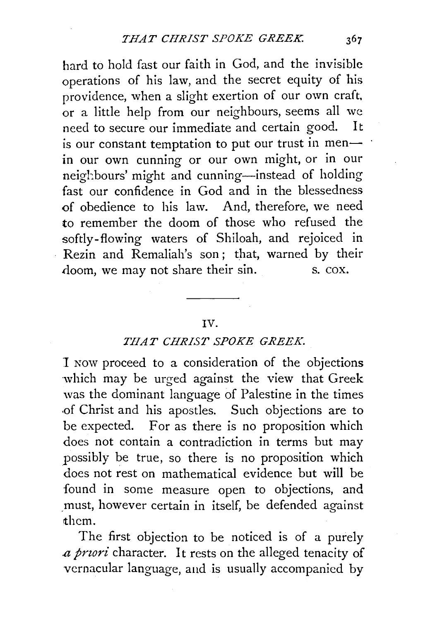hard to hold fast our faith in God, and the invisible operations of his law, and the secret equity of his providence, when a slight exertion of our own craft, or a little help from our neighbours, seems all we need to secure our immediate and certain good. It is our constant temptation to put our trust in menin our own cunning or our own might, or in our neighbours' might and cunning-instead of holding fast our confidence in God and in the blessedness of obedience to his law. And, therefore, we need to remember the doom of those who refused the softly-flowing waters of Shiloah, and rejoiced in Rezin and Remaliah's son; that, warned by their doom, we may not share their sin. s. cox.

## IV.

## *THAT CHRIST SPOKE GREEK.*

1 Now proceed to a consideration of the objections which may be urged against the view that Greek was the dominant language of Palestine in the times .of Christ and his apostles. Such objections are to be expected. For as there is no proposition which does not contain a contradiction in terms but may possibly be true, so there is no proposition which does not rest on mathematical evidence but will be found in some measure open to objections, and must, however certain in itself, be defended against >them.

The first objection to be noticed is of a purely *.a pnori* character. It rests on the alleged tenacity of vernacular language, and is usually accompanied by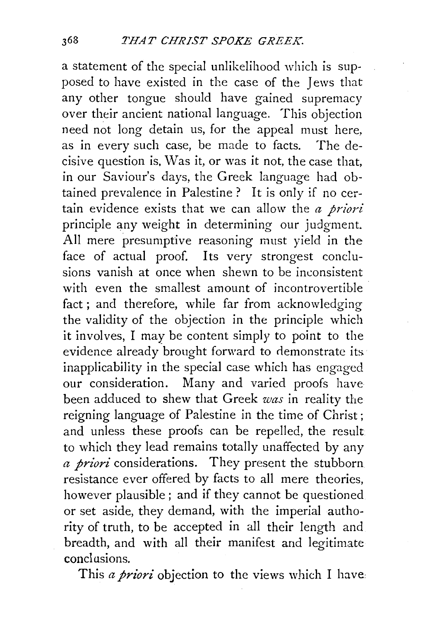a statement of the special unlikelihood which is supposed to have existed in the case of the Jews that any other tongue should have gained supremacy over their ancient national language. This objection need not long detain us, for the appeal must here, as in every such case, be made to facts. The decisive question is, Was it, or was it not, the case that, in our Saviour's days, the Greek language had obtained prevalence in Palestine ? It is only if no certain evidence exists that we can allow the *a priori*  principle any weight in determining our judgment. All mere presumptive reasoning must yield in the face of actual proof. Its very strongest conclusions vanish at once when shewn to be inconsistent with even the smallest amount of incontrovertible fact ; and therefore, while far from acknowledging the validity of the objection in the principle which it involves, I may be content simply to point to the evidence already brought forward to demonstrate its. inapplicability in the special case which has engaged our consideration. Many and varied proofs have been adduced to shew that Greek *was* in reality the reigning language of Palestine in the time of Christ ; and unless these proofs can be repelled, the result to which they lead remains totally unaffected by any *a priori* considerations. They present the stubborn resistance ever offered by facts to all mere theories, however plausible; and if they cannot be questioned or set aside, they demand, with the imperial authority of truth, to be accepted in all their length and breadth, and with all their manifest and legitimate conclusions.

This *a priori* objection to the views which I have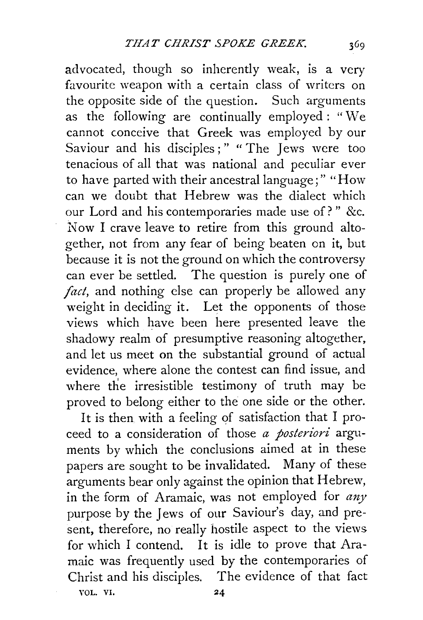advocated, though so inherently weak, is a very favourite weapon with a certain class of writers on the opposite side of the question. Such arguments as the following are continually employed : "We cannot conceive that Greek was employed by our Saviour and his disciples;" "The Jews were too tenacious of all that was national and peculiar ever to have parted with their ancestral language;" "How can we doubt that Hebrew was the dialect which our Lord and his contemporaries made use of?" &c. Now I crave leave to retire from this ground altogether, not from any fear of being beaten on it, but because it is not the ground on which the controversy can ever be settled. The question is purely one of *fact,* and nothing else can properly be allowed any weight in deciding it. Let the opponents of those views which have been here presented leave the shadowy realm of presumptive reasoning altogether, and let us meet on the substantial ground of actual evidence, where alone the contest can find issue, and where the irresistible testimony of truth may be proved to belong either to the one side or the other.

It is then with a feeling of satisfaction that I proceed to a consideration of those *a posteriori* arguments by which the conclusions aimed at in these papers are sought to be invalidated. Many of these arguments bear only against the opinion that Hebrew, in the form of Aramaic, was not employed for *any*  purpose by the Jews of our Saviour's day, and present, therefore, no really hostile aspect to the views for which I contend. It is idle to prove that Aramaic was frequently used by the contemporaries of Christ and his disciples. The evidence of that fact YOL. VI. 24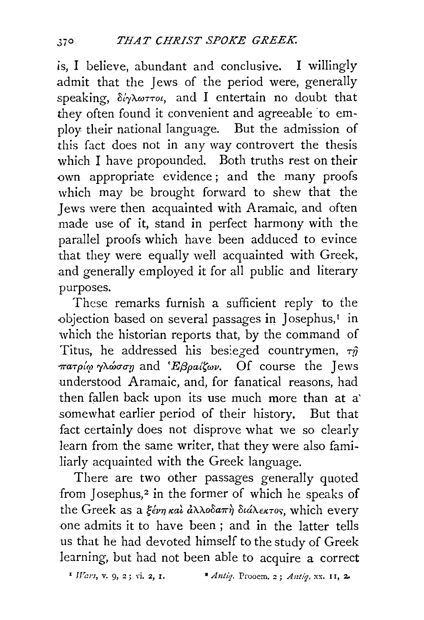is, I believe, abundant and conclusive. I willingly admit that the Jews of the period were, generally speaking, δίγλωττοι, and I entertain no doubt that they often found it convenient and agreeable 'to employ their national language. But the admission of this fact does not in any way controvert the thesis which I have propounded. Both truths rest on their own appropriate evidence ; and the many proofs which may be brought forward to shew that the Jews were then acquainted with Aramaic, and often made use of it, stand in perfect harmony with the parallel proofs which have been adduced to evince that they were equally well acquainted with Greek, and generally employed it for all public and literary purposes.

These remarks furnish a sufficient reply to the objection based on several passages in Josephus, $<sup>T</sup>$  in</sup> which the historian reports that, by the command of Titus, he addressed his besieged countrymen,  $\tau \hat{y}$ r.aTp{~l) *ry'Awa-a-v* and *'Ej3pattwv.* Of course the Jews understood Aramaic, and, for fanatical reasons, had then fallen back upon its use much more than at a' somewhat earlier period of their history. But that fact certainly does not disprove what we so clearly learn from the same writer, that they were also familiarly acquainted with the Greek language.

There are two other passages generally quoted from Josephus,<sup>2</sup> in the former of which he speaks of the Greek as a ξένη και άλλοδαπή διάλεκτος, which every one admits it to have been ; and in the latter tells us that he had devoted himself to the study of Greek learning, but had not been able to acquire a correct

 $'$  *Wars*, **v.** 9, 2; vi. 2, 1. • *Antiq.* Prooem. 2; *Antiq.* xx. 11, 2.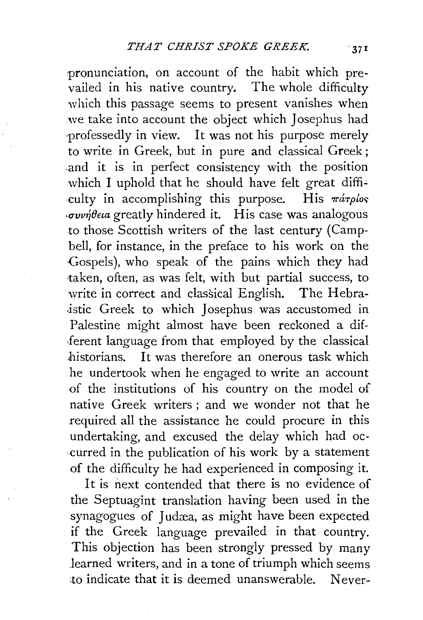pronunciation, on account of the habit which prevailed in his native country. The whole difficulty which this passage seems to present vanishes when we take into account the object which Josephus had professedly in view. It was not his purpose merely to write in Greek, but in pure and classical Greek; and it is in perfect consistency with the position which I uphold that he should have felt great difficulty in accomplishing this purpose. His  $\pi a \tau \rho b \sigma s$  $\cdot$ συνήθεια greatly hindered it. His case was analogous to those Scottish writers of the last century (Campbell, for instance, in the preface to his work on the Gospels), who speak of the pains which they had ·taken, often, as was felt, with but partial success, to write in correct and classical English. The Hebra istic Greek to which Josephus was accustomed in Palestine might almost have been reckoned a dif- .ferent language from that employed by the classical historians. It was therefore an onerous task which he undertook when he engaged to write an account of the institutions of his country on the model of native Greek writers ; and we wonder not that he required all the assistance he could procure in this undertaking, and excused the delay which had occurred in the publication of his work by a statement of the difficulty he had experienced in composing it.

It is next contended that there is no evidence of the Septuagint translation having been used in the synagogues of Judæa, as might have been expected if the Greek language prevailed in that country. This objection has been strongly pressed by many learned writers, and in a tone of triumph which seems ·to indicate that it is deemed unanswerable. Never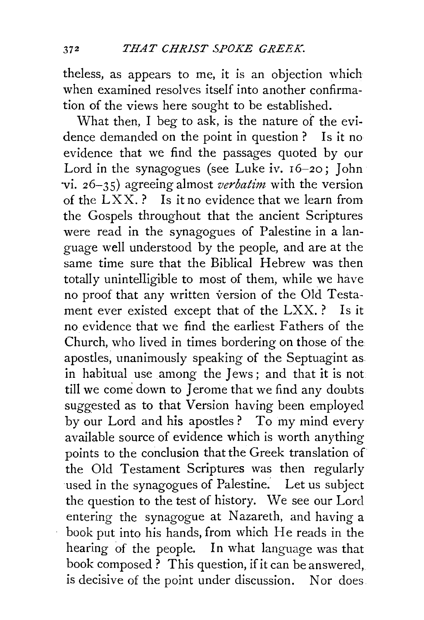theless, as appears to *me,* it is an objection which when examined resolves itself into another confirmation of the views here sought to be established.

What then, I beg to ask, is the nature of the evidence demanded on the point in question ? Is it no evidence that we find the passages quoted by our Lord in the synagogues (see Luke iv. 16-20; John ·vi. 26-35) agreeing almost *verbatim* with the version of the  $LXX$ .? Is it no evidence that we learn from the Gospels throughout that the ancient Scriptures were read in the synagogues of Palestine in a language well understood by the people, and are at the same time sure that the Biblical Hebrew was then totally unintelligible to most of them, while we have no proof that any written version of the Old Testament ever existed except that of the LXX.? Is it no evidence that we find the earliest Fathers of the Church, who lived in times bordering on those of the apostles, unanimously speaking of the Septuagint as in habitual use among the Jews ; and that it is not till we come down to Jerome that we find any doubts suggested as to that Version having been employed by our Lord and his apostles? To my mind every available source of evidence which is worth anything points to the conclusion that the Greek translation of the Old Testament Scriptures was then regularly used in the synagogues of Palestine. Let us subject the question to the test of history. We see our Lord entering the synagogue at Nazareth, and having a book put into his hands, from which He reads in the hearing of the people. In what language was that book composed ? This question, if it can be answered, is decisive of the point under discussion. Nor does.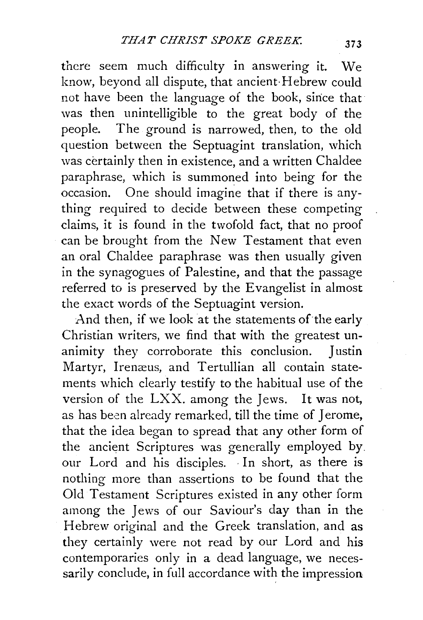there seem much difficulty in answering it. We know, beyond all dispute, that ancient·Hebrew could not have been the language of the book, sirice that was then unintelligible to the great body of the people. The ground is narrowed, then, to the old question between the Septuagint translation, which was certainly then in existence, and a written Chaldee paraphrase, which is summoned into being for the occasion. One should imagine that if there is anything required to decide between these competing claims, it is found in the twofold fact, that no proof can be brought from the New Testament that even an oral Chaldee paraphrase was then usually given in the synagogues of Palestine, and that the passage referred to is preserved by the Evangelist in almost the exact words of the Septuagint version.

And then, if we look at the statements of the early Christian writers, we find that with the greatest unanimity they corroborate this conclusion. Justin Martyr, Irenæus, and Tertullian all contain statements which clearly testify to the habitual use of the version of the LXX. among the Jews. It was not, as has been already remarked, till the time of J erome, that the idea began to spread that any other form of the ancient Scriptures was generally employed by. our Lord and his disciples. ·In short, as there is nothing more than assertions to be found that the Old Testament Scriptures existed in any other form among the Jews of our Saviour's day than in the Hebrew original and the Greek translation, and as they certainly were not read by our Lord and his contemporaries only in a dead language, we necessarily conclude, in full accordance with the impression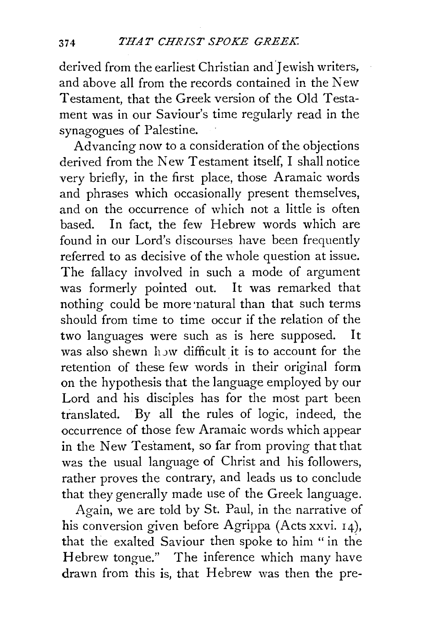derived from the earliest Christian and Jewish writers, and above all from the records contained in the New Testament, that the Greek version of the Old Testament was in our Saviour's time regularly read in the synagogues of Palestine.

Advancing now to a consideration of the objections derived from the New Testament itself, I shall notice very briefly, in the first place, those Aramaic words and phrases which occasionally present themselves, and on the occurrence of which not a little is often based. In fact, the few Hebrew words which are found in our Lord's discourses have been frequently referred to as decisive of the whole question at issue. The fallacy involved in such a mode of argument was formerly pointed out. It was remarked that nothing could be more natural than that such terms should from time to time occur if the relation of the two languages were such as is here supposed. It was also shewn how difficult it is to account for the retention of these few words in their original form on the hypothesis that the language employed by our Lord and his disciples has for the most part been translated. By all the rules of logic, indeed, the occurrence of those few Aramaic words which appear in the New Testament, so far from proving that that was the usual language of Christ and his followers, rather proves the contrary, and leads us to conclude that they generally made use of the Greek language.

Again, we are told by St. Paul, in the narrative of his conversion given before Agrippa (Acts xxvi. r4), that the exalted Saviour then spoke to him "in the Hebrew tongue." The inference which many have drawn from this is, that Hebrew was then the pre-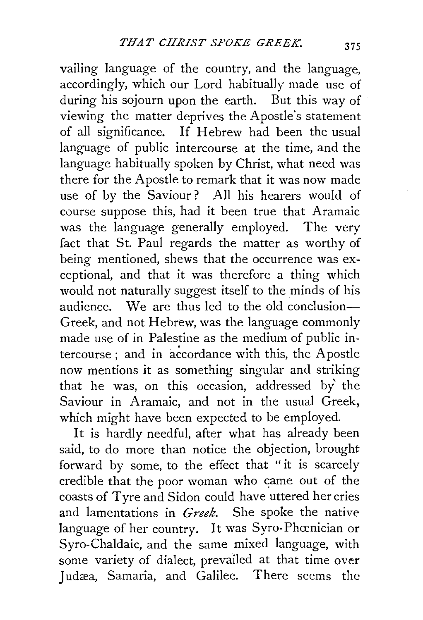vailing language of the country, and the language, accordingly, which our Lord habitually made use of during his sojourn upon the earth. But this way of viewing the matter deprives the Apostle's statement of all significance. If Hebrew had been the usual language of public intercourse at the time, and the language habitually spoken by Christ, what need was there for the Apostle to remark that it was now made use of by the Saviour? All his hearers would of course suppose this, had it been true that Aramaic was the language generally employed. The very fact that St. Paul regards the matter as worthy of being mentioned, shews that the occurrence was exceptional, and that it was therefore a thing which would not naturally suggest itself to the minds of his audience. We are thus led to the old conclusion-Creek, and not Hebrew, was the language commonly made use of in Palestine as the medium of public intercourse; and in accordance with this, the Apostle now mentions it as something singular and striking that he was, on this occasion, addressed by' the Saviour in Aramaic, and not in the usual Greek, which might have been expected to be employed.

It is hardly needful, after what has already been said, to do more than notice the objection, brought forward by some, to the effect that "it is scarcely credible that the poor woman who came out of the coasts of Tyre and Sidon could have uttered her cries and lamentations in *Greek.* She spoke the native language of her country. It was Syro-Phœnician or Syro-Chaldaic, and the same mixed language, with some variety of dialect, prevailed at that time over Judæa, Samaria, and Galilee. There seems the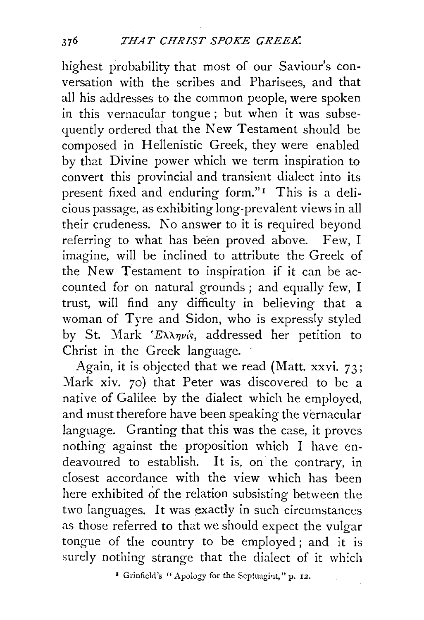highest probability that most of our Saviour's conversation with the scribes and Pharisees, and that all his addresses to the common people, were spoken in this vernacular tongue ; but when it was subsequently ordered that the New Testament should be composed in Hellenistic Greek, they were enabled by that Divine power which we term inspiration to convert this provincial and transient dialect into its present fixed and enduring form."<sup>1</sup> This is a delicious passage, as exhibiting long-prevalent views in all their crudeness. No answer to it is required beyond referring to what has been proved above. Few, I imagine, will be inclined to attribute the Greek of the New Testament to inspiration if it can be accounted for on natural grounds ; and equally few, I trust, will find any difficulty in believing that a woman of Tyre and Sidon, who is expressly styled by St. Mark 'E $\lambda \lambda \eta \nu$ *is*, addressed her petition to Christ in the Greek language.

Again, it is objected that we read (Matt. xxvi. 73; Mark xiv. 70) that Peter was discovered to be a native of Galilee by the dialect which he employed, and must therefore have been speaking the vernacular language. Granting that this was the case, it proves nothing against the proposition which I have endeavoured to establish. It is, on the contrary, in closest accordance with the view which has been here exhibited of the relation subsisting between the two languages. It was exactly in such circumstances as those referred to that we should expect the vulgar tongue of the country to be employed; and it is surely nothing strange that the dialect of it wh:ch

<sup>2</sup> Grinfield's "Apology for the Septuagint," p. 12.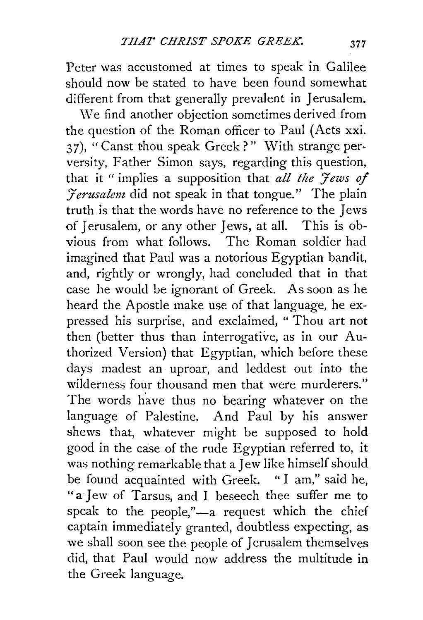Peter was accustomed at times to speak in Galilee should now be stated to have been found somewhat different from that generally prevalent in Jerusalem.

\Ve find another objection sometimes derived from the question of the Roman officer to Paul (Acts xxi. 37), "Canst thou speak Greek?" With strange perversity, Father Simon says, regarding this question, that it " implies a supposition that *all the 'Jews of*  '7 *erusalem* did not speak in that tongue." The plain truth is that the words have no reference to the Jews of Jerusalem, or any other Jews, at all. This is obvious from what follows. The Roman soldier had imagined that Paul was a notorious Egyptian bandit, and, rightly or wrongly, had concluded that in that case he would be ignorant of Greek. As soon as he heard the Apostle make use of that language, he expressed his surprise, and exclaimed, " Thou art not then (better thus than interrogative, as in our Authorized Version) that Egyptian, which before these days madest an uproar, and leddest out into the wilderness four thousand men that were murderers." The words have thus no bearing whatever on the language of Palestine. And Paul by his answer shews that, whatever might be supposed to hold good in the cise of the rude Egyptian referred to, it was nothing remarkable that a Jew like himself should be found acquainted with Greek. "I am," said he, "a Jew of Tarsus, and I beseech thee suffer me to speak to the people," $-a$  request which the chief captain immediately granted, doubtless expecting, as we shall soon see the people of Jerusalem themselves did, that Paul would now address the multitude in the Greek language.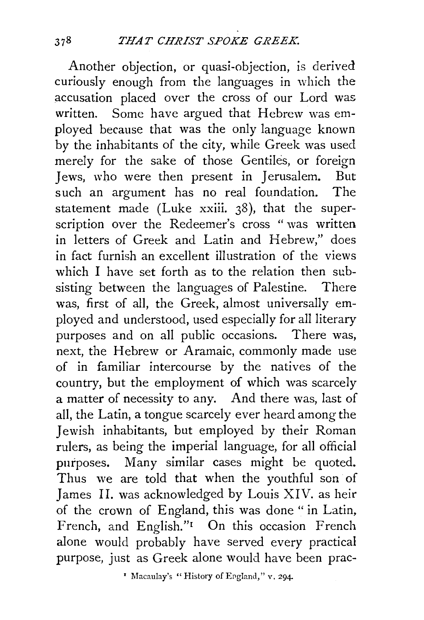Another objection, or quasi-objection, is derived curiously enough from the languages in which the accusation placed over the cross of our Lord was written. Some have argued that Hebrew was employed because that was the only language known by the inhabitants of the city, while Greek was used merely for the sake of those Gentiles, or foreign Jews, who were then present in Jerusalem. But such an argument has no real foundation. The statement made (Luke xxiii. 38), that the superscription over the Redeemer's cross "was written in letters of Greek and Latin and Hebrew," does in fact furnish an excellent illustration of the views which I have set forth as to the relation then subsisting between the languages of Palestine. There was, first of all, the Greek, almost universally employed and understood, used especially for all literary purposes and on all public occasions. There was, next, the Hebrew or Aramaic, commonly made use of in familiar intercourse by the natives of the country, but the employment of which was scarcely a matter of necessity to any. And there was, last of all, the Latin, a tongue scarcely ever heard among the Jewish inhabitants, but employed by their Roman rulers, as being the imperial language, for all official purposes. Many similar cases might be quoted. Thus we are told that when the youthful son of James 11. was acknowledged by Louis XIV. as heir of the crown of England, this was done "in Latin, French, and English."<sup>1</sup> On this occasion French alone would probably have served every practical purpose, just as Greek alone would have been prac-

' Macaulay's "History of England," v, 294-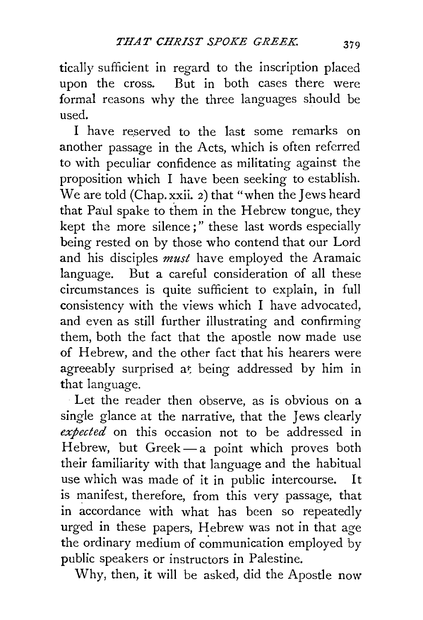tically sufficient in regard to the inscription placed upon the cross. But in both cases there were formal reasons why the three languages should be used.

I have reserved to the last some remarks on another passage in the Acts, which is often referred to with peculiar confidence as militating against the proposition which I have been seeking to establish. We are told (Chap. xxii. 2) that "when the Jews heard that Paul spake to them in the Hebrew tongue, they kept the more silence;" these last words especially being rested on by those who contend that our Lord and his disciples *must* have employed the Aramaic language. But a careful consideration of all these circumstances is quite sufficient to explain, in full consistency with the views which I have advocated, and even as still further illustrating and confirming them, both the fact that the apostle now made use of Hebrew, and the other fact that his hearers were agreeably surprised at being addressed by him in that language.

Let the reader then observe, as is obvious on a single glance at the narrative, that the Jews clearly *expected* on this occasion not to be addressed in Hebrew, but Greek $-$ a point which proves both their familiarity with that language and the habitual use which was made of it in public intercourse. It is manifest, therefore, from this very passage, that in accordance with what has been so repeatedly urged in these papers, Hebrew was not in that age the ordinary medium of communication employed by public speakers or instructors in Palestine.

Why, then, it will be asked, did the Apostle now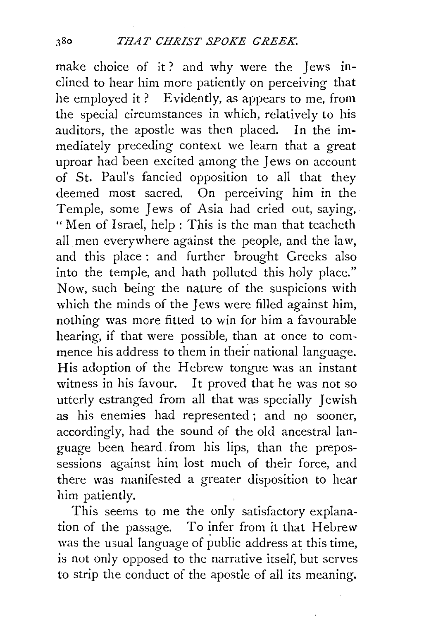make choice of it? and why were the Jews inclined to hear him more patiently on perceiving that he employed it? Evidently, as appears to me, from the special circumstances in which, relatively to his auditors, the apostle was then placed. In the immediately preceding context we learn that a great uproar had been excited among the Jews on account of St. Paul's fancied opposition to all that they deemed most sacred. On perceiving him in the Temple, some Jews of Asia had cried out, saying, "Men of Israel, help : This is the man that teacheth all men everywhere against the people, and the law, and this place : and further brought Greeks also into the temple, and hath polluted this holy place." Now, such being the nature of the suspicions with which the minds of the Jews were filled against him, nothing was more fitted to win for him a favourable hearing, if that were possible, than at once to commence his address to them in their national language. His adoption of the Hebrew tongue was an instant witness in his favour. It proved that he was not so utterly estranged from all that was specially *]* ewish as his enemies had represented; and no sooner, accordingly, had the sound of the old ancestral language been heard. from his lips, than the prepossessions against him lost much of their force, and there was manifested a greater disposition to hear him patiently.

This seems to me the only satisfactory explanation of the passage. To infer from it that Hebrew was the usual language of public address at this time, is not only opposed to the narrative itself, but serves to strip the conduct of the apostle of all its meaning.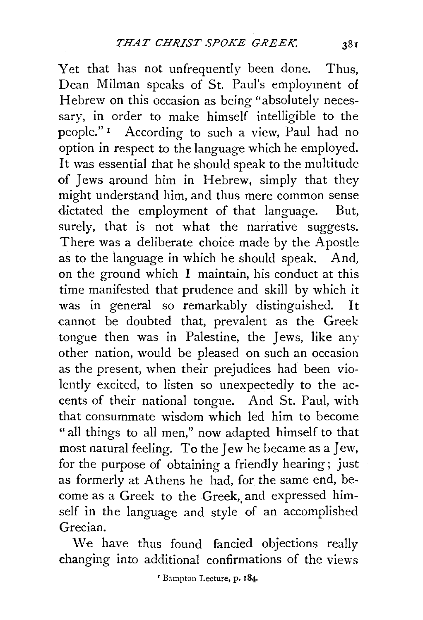Yet that has not unfrequently been done. Thus, Dean Milman speaks of St. Paul's employment of Hebrew on this occasion as being "absolutely necessary, in order to make himself intelligible to the people." 1 According to such a view, Paul had no option in respect to the language which he employed. It was essential that he should speak to the multitude of Jews around him in Hebrew, simply that they might understand him, and thus mere common sense dictated the employment of that language. But, surely, that is not what the narrative suggests. There was a deliberate choice made by the Apostle as to the language in which he should speak. And, on the ground which I maintain, his conduct at this time manifested that prudence and skill by which it was in general so remarkably distinguished. It cannot be doubted that, prevalent as the Greek tongue then was in Palestine, the Jews, like any other nation, would be pleased on such an occasion as the present, when their prejudices had been violently excited, to listen so unexpectedly to the accents of their national tongue. And St. Paul, with that consummate wisdom which led him to become " all things to all men," now adapted himself to that most natural feeling. To the Jew he became as a Jew, for the purpose of obtaining a friendly hearing; just as formerly at Athens he had, for the same end, become as a Greek to the Greek, and expressed himself in the language and style of an accomplished Grecian.

We have thus found fancied objections really changing into additional confirmations of the views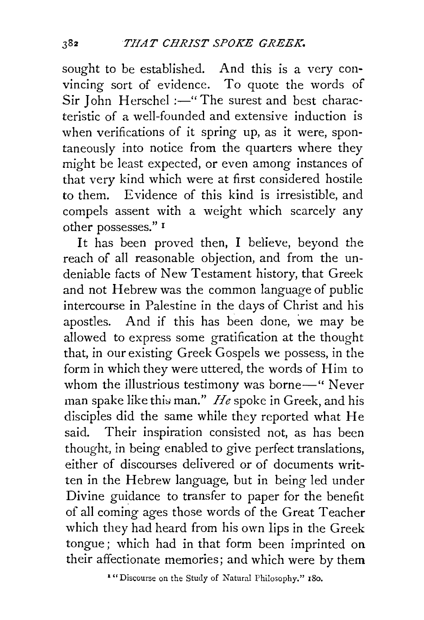sought to be established. And this is a very convincing sort of evidence. To quote the words of Sir John Herschel :- "The surest and best characteristic of a well-founded and extensive induction is when verifications of it spring up, as it were, spontaneously into notice from the quarters where they might be least expected, or even among instances of that very kind which were at first considered hostile to them. Evidence of this kind is irresistible, and compels assent with a weight which scarcely any other possesses." r

It has been proved then, I believe, beyond the reach of all reasonable objection, and from the undeniable facts of New Testament history, that Greek and not Hebrew was the common language of public intercourse in Palestine in the days of Christ and his apostles. And if this has been done, we may be allowed to express some gratification at the thought that, in our existing Greek Gospels we possess, in the form in which they were uttered, the words of Him to whom the illustrious testimony was borne-" Never man spake like this man." *He* spoke in Greek, and his disciples did the same while they reported what He said. Their inspiration consisted not, as has been thought, in being enabled to give perfect translations, either of discourses delivered or of documents written in the Hebrew language, but in being led under Divine guidance to transfer to paper for the benefit of all coming ages those words of the Great Teacher which they had heard from his own lips in the Greek tongue; which had in that form been imprinted on their affectionate memories; and which were by them

1 "Discourse on the Study of Natural Philosophy." 180.